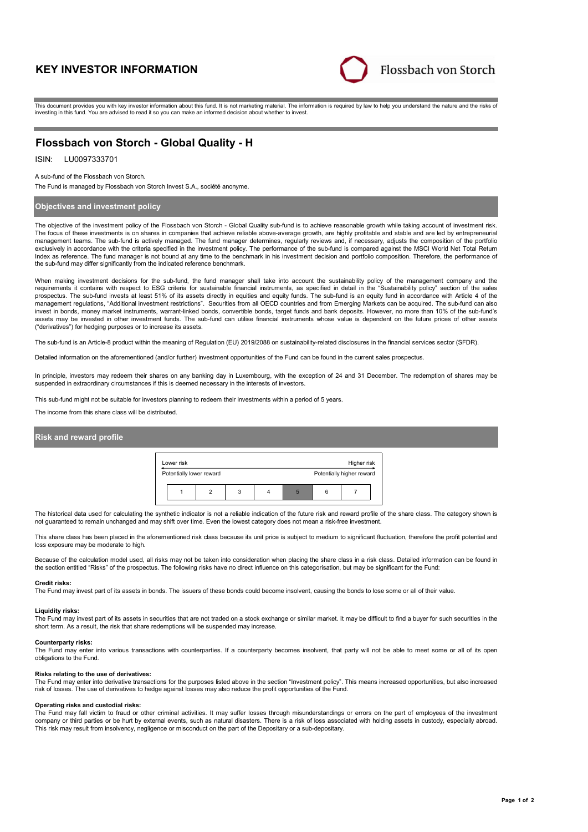# **KEY INVESTOR INFORMATION**



This document provides you with key investor information about this fund. It is not marketing material. The information is required by law to help you understand the nature and the risks of investing in this fund. You are advised to read it so you can make an informed decision about whether to invest.

## **Flossbach von Storch - Global Quality - H**

## ISIN: LU0097333701

#### A sub-fund of the Flossbach von Storch.

The Fund is managed by Flossbach von Storch Invest S.A., société anonyme.

## **Objectives and investment policy**

The objective of the investment policy of the Flossbach von Storch - Global Quality sub-fund is to achieve reasonable growth while taking account of investment risk. The focus of these investments is on shares in companies that achieve reliable above-average growth, are highly profitable and stable and are led by entrepreneurial management teams. The sub-fund is actively managed. The fund manager determines, regularly reviews and, if necessary, adjusts the composition of the portfolio exclusively in accordance with the criteria specified in the investment policy. The performance of the sub-fund is compared against the MSCI World Net Total Return Index as reference. The fund manager is not bound at any time to the benchmark in his investment decision and portfolio composition. Therefore, the performance of the sub-fund may differ significantly from the indicated reference benchmark.

When making investment decisions for the sub-fund, the fund manager shall take into account the sustainability policy of the management company and the requirements it contains with respect to ESG criteria for sustainable financial instruments, as specified in detail in the "Sustainability policy" section of the sales prospectus. The sub-fund invests at least 51% of its assets directly in equities and equity funds. The sub-fund is an equity fund in accordance with Article 4 of the management regulations, "Additional investment restrictions". Securities from all OECD countries and from Emerging Markets can be acquired. The sub-fund can also invest in bonds, money market instruments, warrant-linked bonds, convertible bonds, target funds and bank deposits. However, no more than 10% of the sub-fund's assets may be invested in other investment funds. The sub-fund can utilise financial instruments whose value is dependent on the future prices of other assets ("derivatives") for hedging purposes or to increase its assets.

The sub-fund is an Article-8 product within the meaning of Regulation (EU) 2019/2088 on sustainability-related disclosures in the financial services sector (SFDR).

Detailed information on the aforementioned (and/or further) investment opportunities of the Fund can be found in the current sales prospectus.

In principle, investors may redeem their shares on any banking day in Luxembourg, with the exception of 24 and 31 December. The redemption of shares may be suspended in extraordinary circumstances if this is deemed necessary in the interests of investors.

This sub-fund might not be suitable for investors planning to redeem their investments within a period of 5 years.

The income from this share class will be distributed.

## **Risk and reward profile**

| Lower risk               |  |   | Higher risk               |   |  |  |  |
|--------------------------|--|---|---------------------------|---|--|--|--|
| Potentially lower reward |  |   | Potentially higher reward |   |  |  |  |
|                          |  | 3 |                           | 5 |  |  |  |

The historical data used for calculating the synthetic indicator is not a reliable indication of the future risk and reward profile of the share class. The category shown is not guaranteed to remain unchanged and may shift over time. Even the lowest category does not mean a risk-free investment.

This share class has been placed in the aforementioned risk class because its unit price is subject to medium to significant fluctuation, therefore the profit potential and loss exposure may be moderate to high.

Because of the calculation model used, all risks may not be taken into consideration when placing the share class in a risk class. Detailed information can be found in the section entitled "Risks" of the prospectus. The following risks have no direct influence on this categorisation, but may be significant for the Fund:

#### **Credit risks:**

The Fund may invest part of its assets in bonds. The issuers of these bonds could become insolvent, causing the bonds to lose some or all of their value.

#### **Liquidity risks:**

The Fund may invest part of its assets in securities that are not traded on a stock exchange or similar market. It may be difficult to find a buyer for such securities in the short term. As a result, the risk that share redemptions will be suspended may increase.

#### **Counterparty risks:**

The Fund may enter into various transactions with counterparties. If a counterparty becomes insolvent, that party will not be able to meet some or all of its open obligations to the Fund.

#### **Risks relating to the use of derivatives:**

The Fund may enter into derivative transactions for the purposes listed above in the section "Investment policy". This means increased opportunities, but also increased risk of losses. The use of derivatives to hedge against losses may also reduce the profit opportunities of the Fund.

#### **Operating risks and custodial risks:**

The Fund may fall victim to fraud or other criminal activities. It may suffer losses through misunderstandings or errors on the part of employees of the investment company or third parties or be hurt by external events, such as natural disasters. There is a risk of loss associated with holding assets in custody, especially abroad. This risk may result from insolvency, negligence or misconduct on the part of the Depositary or a sub-depositary.